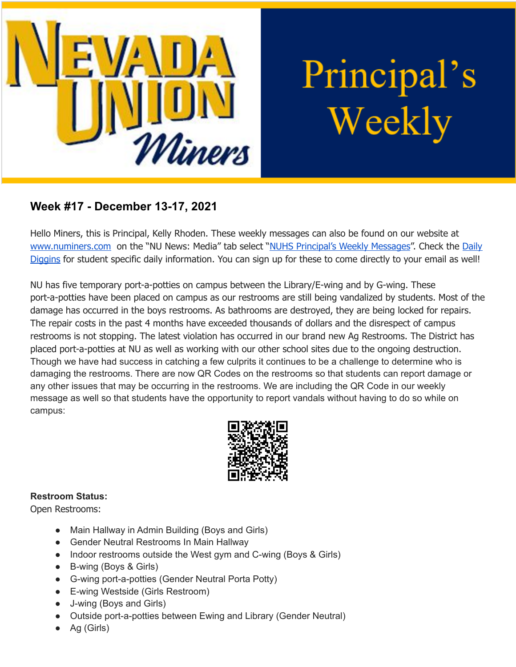

Principal's Weekly

## **Week #17 - December 13-17, 2021**

Hello Miners, this is Principal, Kelly Rhoden. These weekly messages can also be found on our website at [www.numiners.com](http://www.numiners.com) on the "NU News: Media" tab select "NUHS [Principal's](https://nevadaunion.njuhsd.com/NU-NewsMedia/NUHS-Principals-Weekly-Messages/index.html) Weekly Messages". Check the [Daily](https://nevadaunion.njuhsd.com/NU-NewsMedia/Daily-Diggins-Bulletin/index.html) [Diggins](https://nevadaunion.njuhsd.com/NU-NewsMedia/Daily-Diggins-Bulletin/index.html) for student specific daily information. You can sign up for these to come directly to your email as well!

NU has five temporary port-a-potties on campus between the Library/E-wing and by G-wing. These port-a-potties have been placed on campus as our restrooms are still being vandalized by students. Most of the damage has occurred in the boys restrooms. As bathrooms are destroyed, they are being locked for repairs. The repair costs in the past 4 months have exceeded thousands of dollars and the disrespect of campus restrooms is not stopping. The latest violation has occurred in our brand new Ag Restrooms. The District has placed port-a-potties at NU as well as working with our other school sites due to the ongoing destruction. Though we have had success in catching a few culprits it continues to be a challenge to determine who is damaging the restrooms. There are now QR Codes on the restrooms so that students can report damage or any other issues that may be occurring in the restrooms. We are including the QR Code in our weekly message as well so that students have the opportunity to report vandals without having to do so while on campus:



#### **Restroom Status:**

Open Restrooms:

- Main Hallway in Admin Building (Boys and Girls)
- Gender Neutral Restrooms In Main Hallway
- Indoor restrooms outside the West gym and C-wing (Boys & Girls)
- B-wing (Boys & Girls)
- G-wing port-a-potties (Gender Neutral Porta Potty)
- E-wing Westside (Girls Restroom)
- J-wing (Boys and Girls)
- Outside port-a-potties between Ewing and Library (Gender Neutral)
- Ag (Girls)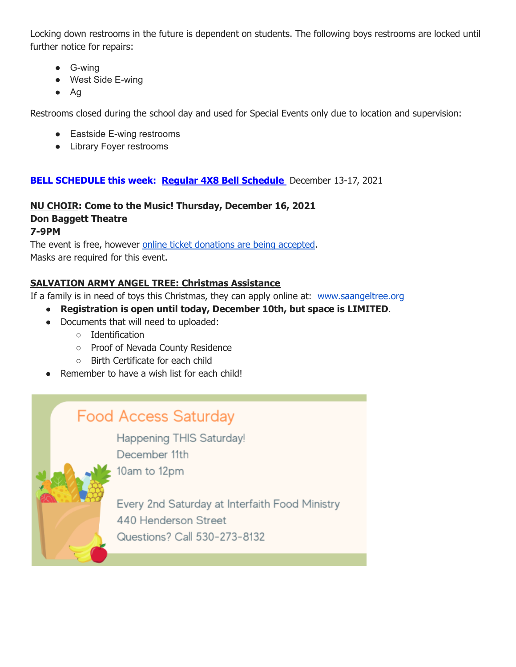Locking down restrooms in the future is dependent on students. The following boys restrooms are locked until further notice for repairs:

- G-wing
- West Side E-wing
- Ag

Restrooms closed during the school day and used for Special Events only due to location and supervision:

- Eastside E-wing restrooms
- Library Foyer restrooms

### **BELL SCHEDULE this week: Regular 4X8 Bell [Schedule](https://nevadaunion.njuhsd.com/documents/Bell%20Schedules/Bell-Schedule-2021-2022-NUHS-4x8.pdf)** December 13-17, 2021

#### **NU CHOIR: Come to the Music! Thursday, December 16, 2021 Don Baggett Theatre 7-9PM**

The event is free, however online ticket [donations](https://drive.google.com/file/d/1OqyCEUzsKx2hbJYyHTUpKILg-CNfD7s2/view?usp=sharing) are being accepted. Masks are required for this event.

### **SALVATION ARMY ANGEL TREE: Christmas Assistance**

If a family is in need of toys this Christmas, they can apply online at: [www.saangeltree.org](http://www.saangeltree.org/)

- **Registration is open until today, December 10th, but space is LIMITED**.
- Documents that will need to uploaded:
	- Identification
	- Proof of Nevada County Residence
	- Birth Certificate for each child
- Remember to have a wish list for each child!

# **Food Access Saturday**

10am to 12pm

Happening THIS Saturday! December 11th



Every 2nd Saturday at Interfaith Food Ministry 440 Henderson Street Questions? Call 530-273-8132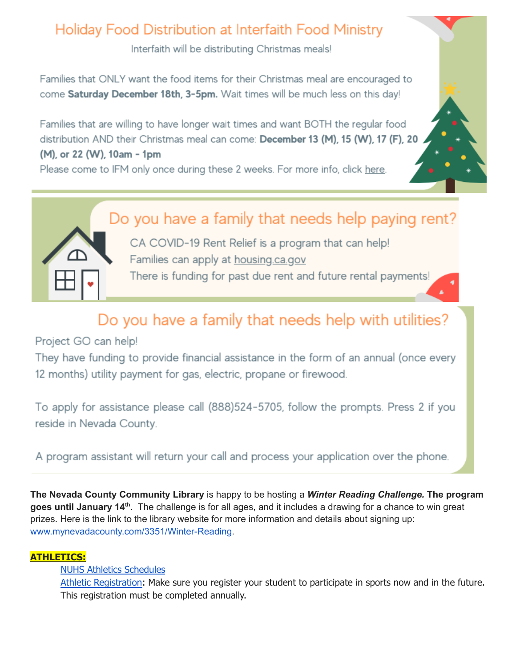# Holiday Food Distribution at Interfaith Food Ministry

Interfaith will be distributing Christmas meals!

Families that ONLY want the food items for their Christmas meal are encouraged to come Saturday December 18th, 3-5pm. Wait times will be much less on this day!

Families that are willing to have longer wait times and want BOTH the regular food distribution AND their Christmas meal can come: December 13 (M), 15 (W), 17 (F), 20 (M), or 22 (W), 10am - 1pm

Please come to IFM only once during these 2 weeks. For more info, click here.





CA COVID-19 Rent Relief is a program that can help! Families can apply at housing.ca.gov There is funding for past due rent and future rental payments!

# Do you have a family that needs help with utilities?

Project GO can help!

They have funding to provide financial assistance in the form of an annual (once every 12 months) utility payment for gas, electric, propane or firewood.

To apply for assistance please call (888)524-5705, follow the prompts. Press 2 if you reside in Nevada County.

A program assistant will return your call and process your application over the phone.

**The Nevada County Community Library** is happy to be hosting a *Winter Reading Challenge.* **The program** goes until January 14<sup>th</sup>. The challenge is for all ages, and it includes a drawing for a chance to win great prizes. Here is the link to the library website for more information and details about signing up: [www.mynevadacounty.com/3351/Winter-Reading](https://us-west-2.protection.sophos.com/?d=mynevadacounty.com&u=aHR0cDovL3d3dy5teW5ldmFkYWNvdW50eS5jb20vMzM1MS9XaW50ZXItUmVhZGluZw==&i=NjExNDMyNTU1NTQ0MzkwZjVmOGQyYzA2&t=TVRVRjhPYUNtaGphYUVKVUdkakZMaWpsZkVIaU4wdnYxMVRWR2JtcVV5Yz0=&h=f64268aeab4e43d2ad2e7a41b6372436).

### **ATHLETICS:**

NUHS Athletics [Schedules](https://nevadaunion.njuhsd.com/Athletics/Sports-Calendar--Schedules/index.html)

Athletic [Registration:](https://nevadaunion.njuhsd.com/Athletics/How-to-Register-For-a-Sport/index.html) Make sure you register your student to participate in sports now and in the future. This registration must be completed annually.